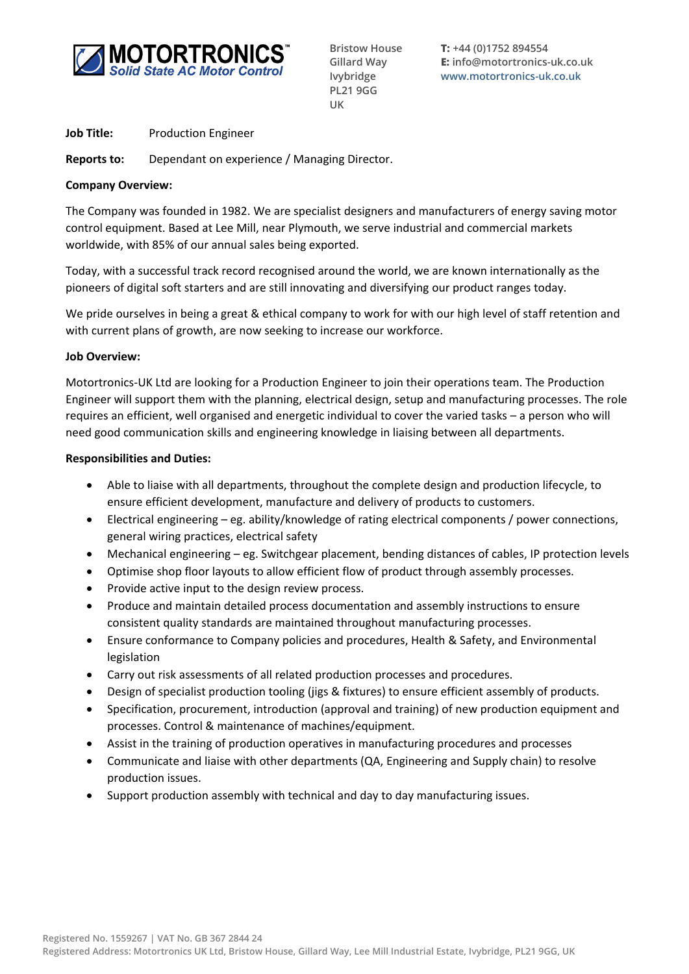

**Bristow House Gillard Way Ivybridge PL21 9GG UK**

**T: +44 (0)1752 894554 E: info@motortronics-uk.co.uk www.motortronics-uk.co.uk**

**Job Title:** Production Engineer

**Reports to:** Dependant on experience / Managing Director.

### **Company Overview:**

The Company was founded in 1982. We are specialist designers and manufacturers of energy saving motor control equipment. Based at Lee Mill, near Plymouth, we serve industrial and commercial markets worldwide, with 85% of our annual sales being exported.

Today, with a successful track record recognised around the world, we are known internationally as the pioneers of digital soft starters and are still innovating and diversifying our product ranges today.

We pride ourselves in being a great & ethical company to work for with our high level of staff retention and with current plans of growth, are now seeking to increase our workforce.

### **Job Overview:**

Motortronics-UK Ltd are looking for a Production Engineer to join their operations team. The Production Engineer will support them with the planning, electrical design, setup and manufacturing processes. The role requires an efficient, well organised and energetic individual to cover the varied tasks – a person who will need good communication skills and engineering knowledge in liaising between all departments.

### **Responsibilities and Duties:**

- Able to liaise with all departments, throughout the complete design and production lifecycle, to ensure efficient development, manufacture and delivery of products to customers.
- Electrical engineering eg. ability/knowledge of rating electrical components / power connections, general wiring practices, electrical safety
- Mechanical engineering eg. Switchgear placement, bending distances of cables, IP protection levels
- Optimise shop floor layouts to allow efficient flow of product through assembly processes.
- Provide active input to the design review process.
- Produce and maintain detailed process documentation and assembly instructions to ensure consistent quality standards are maintained throughout manufacturing processes.
- Ensure conformance to Company policies and procedures, Health & Safety, and Environmental legislation
- Carry out risk assessments of all related production processes and procedures.
- Design of specialist production tooling (jigs & fixtures) to ensure efficient assembly of products.
- Specification, procurement, introduction (approval and training) of new production equipment and processes. Control & maintenance of machines/equipment.
- Assist in the training of production operatives in manufacturing procedures and processes
- Communicate and liaise with other departments (QA, Engineering and Supply chain) to resolve production issues.
- Support production assembly with technical and day to day manufacturing issues.